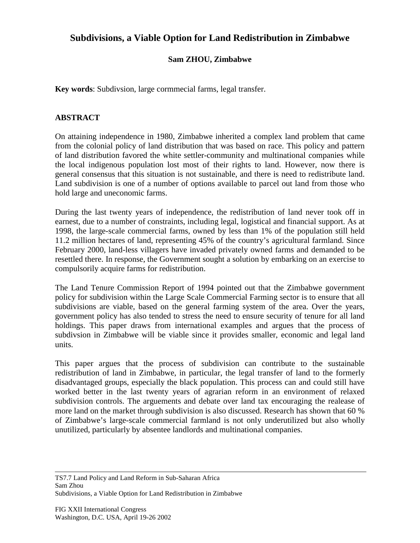## **Subdivisions, a Viable Option for Land Redistribution in Zimbabwe**

## **Sam ZHOU, Zimbabwe**

**Key words**: Subdivsion, large cormmecial farms, legal transfer.

## **ABSTRACT**

On attaining independence in 1980, Zimbabwe inherited a complex land problem that came from the colonial policy of land distribution that was based on race. This policy and pattern of land distribution favored the white settler-community and multinational companies while the local indigenous population lost most of their rights to land. However, now there is general consensus that this situation is not sustainable, and there is need to redistribute land. Land subdivision is one of a number of options available to parcel out land from those who hold large and uneconomic farms.

During the last twenty years of independence, the redistribution of land never took off in earnest, due to a number of constraints, including legal, logistical and financial support. As at 1998, the large-scale commercial farms, owned by less than 1% of the population still held 11.2 million hectares of land, representing 45% of the country's agricultural farmland. Since February 2000, land-less villagers have invaded privately owned farms and demanded to be resettled there. In response, the Government sought a solution by embarking on an exercise to compulsorily acquire farms for redistribution.

The Land Tenure Commission Report of 1994 pointed out that the Zimbabwe government policy for subdivision within the Large Scale Commercial Farming sector is to ensure that all subdivisions are viable, based on the general farming system of the area. Over the years, government policy has also tended to stress the need to ensure security of tenure for all land holdings. This paper draws from international examples and argues that the process of subdivsion in Zimbabwe will be viable since it provides smaller, economic and legal land units.

This paper argues that the process of subdivision can contribute to the sustainable redistribution of land in Zimbabwe, in particular, the legal transfer of land to the formerly disadvantaged groups, especially the black population. This process can and could still have worked better in the last twenty years of agrarian reform in an environment of relaxed subdivision controls. The arguements and debate over land tax encouraging the realease of more land on the market through subdivision is also discussed. Research has shown that 60 % of Zimbabwe's large-scale commercial farmland is not only underutilized but also wholly unutilized, particularly by absentee landlords and multinational companies.

TS7.7 Land Policy and Land Reform in Sub-Saharan Africa Sam Zhou Subdivisions, a Viable Option for Land Redistribution in Zimbabwe